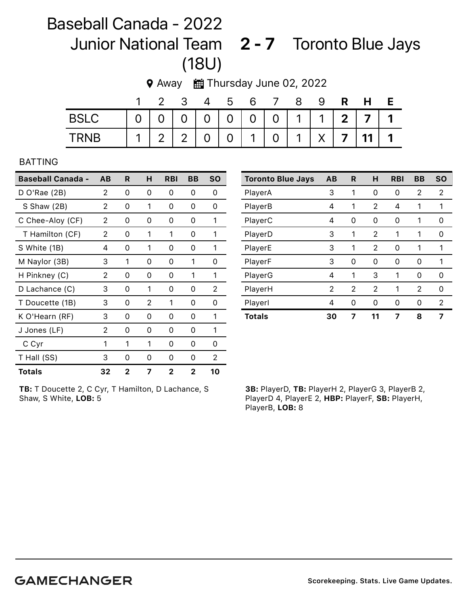## Baseball Canada - 2022 Junior National Team 2 - 7 Toronto Blue Jays (18U)

|             |  |  |  | 2 3 4 5 6 7 8 |  | 9 R H E                                 |  |
|-------------|--|--|--|---------------|--|-----------------------------------------|--|
| <b>BSLC</b> |  |  |  |               |  | 0 0 0 0 0 0 0 1 1 1 2 7 1               |  |
| <b>TRNB</b> |  |  |  |               |  | $1 \ 2 \ 2 \ 0 \ 0 \ 1 \ 0 \ 1 \ 1 \ 0$ |  |

## 9 Away **曲 Thursday June 02, 2022**

## BATTING

| <b>Baseball Canada -</b> | AB | R | н  | <b>RBI</b>   | BВ | <b>SO</b> |
|--------------------------|----|---|----|--------------|----|-----------|
| D O'Rae (2B)             | 2  | 0 | O) | 0            | 0  | O         |
| S Shaw (2B)              | 2  | 0 | 1  | 0            | 0  | 0         |
| C Chee-Aloy (CF)         | 2  | 0 | O) | 0            | Ω  | 1         |
| T Hamilton (CF)          | 2  | 0 | 1  | 1            | 0  | 1         |
| S White (1B)             | 4  | 0 | 1  | 0            | Ω  | 1         |
| M Naylor (3B)            | 3  | 1 | 0  | 0            | 1  | 0         |
| H Pinkney (C)            | 2  | 0 | 0  | 0            | 1  | 1         |
| D Lachance (C)           | 3  | 0 | 1  | 0            | 0  | 2         |
| T Doucette (1B)          | 3  | 0 | 2  | 1            | 0  | 0         |
| K O'Hearn (RF)           | 3  | 0 | 0  | 0            | 0  | 1         |
| J Jones (LF)             | 2  | 0 | 0  | 0            | 0  | 1         |
| C Cyr                    | 1  | 1 | 1  | 0            | 0  | 0         |
| T Hall (SS)              | 3  | 0 | Ω  | 0            | 0  | 2         |
| Totals                   | 32 | 2 | 7  | $\mathbf{2}$ | 2  | 10        |

TB: T Doucette 2, C Cyr, T Hamilton, D Lachance, S Shaw, S White, LOB: 5

| <b>Toronto Blue Jays</b> | AB | R | н  | <b>RBI</b> | <b>BB</b> | <b>SO</b> |
|--------------------------|----|---|----|------------|-----------|-----------|
| PlayerA                  | 3  | 1 | 0  | 0          | 2         | 2         |
| PlayerB                  | 4  | 1 | 2  | 4          | 1         | 1         |
| PlayerC                  | 4  | 0 | 0  | 0          | 1         | 0         |
| PlayerD                  | 3  | 1 | 2  | 1          | 1         | 0         |
| PlayerE                  | 3  | 1 | 2  | 0          | 1         | 1         |
| PlayerF                  | 3  | 0 | 0  | 0          | 0         | 1         |
| PlayerG                  | 4  | 1 | 3  | 1          | 0         | 0         |
| PlayerH                  | 2  | 2 | 2  | 1          | 2         | 0         |
| Playerl                  | 4  | ი | 0  | 0          | Ω         | 2         |
| <b>Totals</b>            | 30 | 7 | 11 | 7          | 8         | 7         |

3B: PlayerD, TB: PlayerH 2, PlayerG 3, PlayerB 2, PlayerD 4, PlayerE 2, HBP: PlayerF, SB: PlayerH, PlayerB, LOB: 8